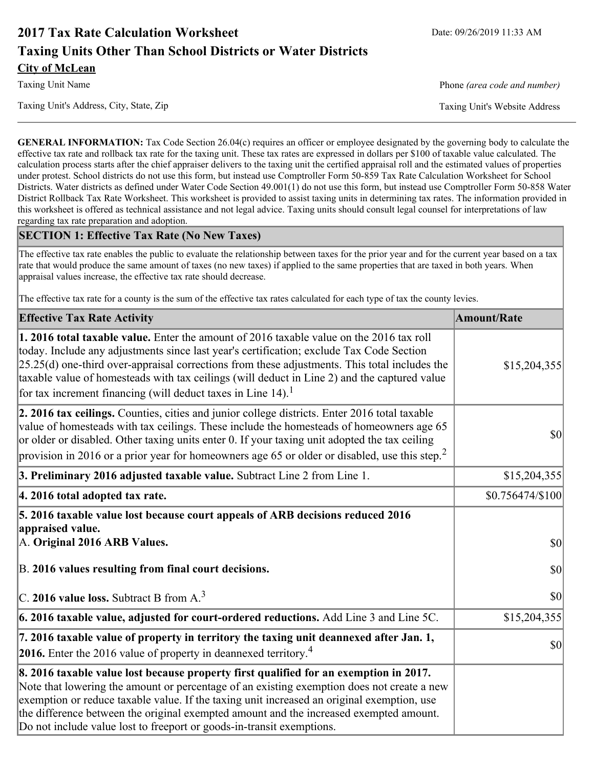# **2017 Tax Rate Calculation Worksheet** Date: 09/26/2019 11:33 AM **Taxing Units Other Than School Districts or Water Districts City of McLean**

Taxing Unit Name **Phone** *(area code and number)* Phone *(area code and number)* 

Taxing Unit's Address, City, State, Zip Taxing Unit's Website Address

**GENERAL INFORMATION:** Tax Code Section 26.04(c) requires an officer or employee designated by the governing body to calculate the effective tax rate and rollback tax rate for the taxing unit. These tax rates are expressed in dollars per \$100 of taxable value calculated. The calculation process starts after the chief appraiser delivers to the taxing unit the certified appraisal roll and the estimated values of properties under protest. School districts do not use this form, but instead use Comptroller Form 50-859 Tax Rate Calculation Worksheet for School Districts. Water districts as defined under Water Code Section 49.001(1) do not use this form, but instead use Comptroller Form 50-858 Water District Rollback Tax Rate Worksheet. This worksheet is provided to assist taxing units in determining tax rates. The information provided in this worksheet is offered as technical assistance and not legal advice. Taxing units should consult legal counsel for interpretations of law regarding tax rate preparation and adoption.

### **SECTION 1: Effective Tax Rate (No New Taxes)**

The effective tax rate enables the public to evaluate the relationship between taxes for the prior year and for the current year based on a tax rate that would produce the same amount of taxes (no new taxes) if applied to the same properties that are taxed in both years. When appraisal values increase, the effective tax rate should decrease.

The effective tax rate for a county is the sum of the effective tax rates calculated for each type of tax the county levies.

| <b>Effective Tax Rate Activity</b>                                                                                                                                                                                                                                                                                                                                                                                                                             | <b>Amount/Rate</b> |
|----------------------------------------------------------------------------------------------------------------------------------------------------------------------------------------------------------------------------------------------------------------------------------------------------------------------------------------------------------------------------------------------------------------------------------------------------------------|--------------------|
| <b>1. 2016 total taxable value.</b> Enter the amount of 2016 taxable value on the 2016 tax roll<br>today. Include any adjustments since last year's certification; exclude Tax Code Section<br>$[25.25(d)$ one-third over-appraisal corrections from these adjustments. This total includes the<br>taxable value of homesteads with tax ceilings (will deduct in Line 2) and the captured value<br>for tax increment financing (will deduct taxes in Line 14). | \$15,204,355       |
| 2. 2016 tax ceilings. Counties, cities and junior college districts. Enter 2016 total taxable<br>value of homesteads with tax ceilings. These include the homesteads of homeowners age 65<br>or older or disabled. Other taxing units enter 0. If your taxing unit adopted the tax ceiling<br>provision in 2016 or a prior year for homeowners age 65 or older or disabled, use this step. <sup>2</sup>                                                        | 30                 |
| 3. Preliminary 2016 adjusted taxable value. Subtract Line 2 from Line 1.                                                                                                                                                                                                                                                                                                                                                                                       | \$15,204,355       |
| 4. 2016 total adopted tax rate.                                                                                                                                                                                                                                                                                                                                                                                                                                | \$0.756474/\$100   |
| 5. 2016 taxable value lost because court appeals of ARB decisions reduced 2016<br>appraised value.<br>A. Original 2016 ARB Values.                                                                                                                                                                                                                                                                                                                             | $ 10\rangle$       |
| B. 2016 values resulting from final court decisions.                                                                                                                                                                                                                                                                                                                                                                                                           | 30                 |
| C. 2016 value loss. Subtract B from $A3$                                                                                                                                                                                                                                                                                                                                                                                                                       | 30                 |
| 6. 2016 taxable value, adjusted for court-ordered reductions. Add Line 3 and Line 5C.                                                                                                                                                                                                                                                                                                                                                                          | \$15,204,355       |
| 7. 2016 taxable value of property in territory the taxing unit deannexed after Jan. 1,<br><b>2016.</b> Enter the 2016 value of property in deannexed territory. <sup>4</sup>                                                                                                                                                                                                                                                                                   | $ 10\rangle$       |
| 8. 2016 taxable value lost because property first qualified for an exemption in 2017.<br>Note that lowering the amount or percentage of an existing exemption does not create a new<br>exemption or reduce taxable value. If the taxing unit increased an original exemption, use<br>the difference between the original exempted amount and the increased exempted amount.<br>Do not include value lost to freeport or goods-in-transit exemptions.           |                    |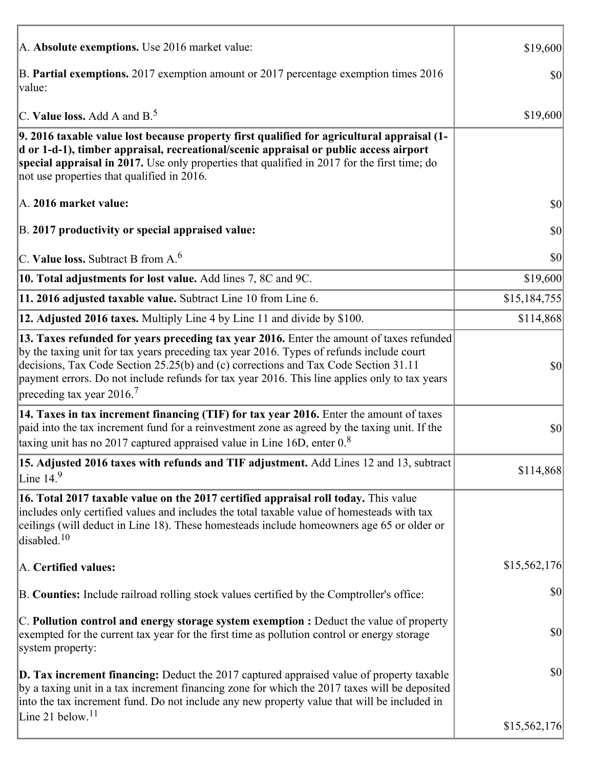| A. Absolute exemptions. Use 2016 market value:                                                                                                                                                                                                                                                                                                                                                                         | \$19,600     |
|------------------------------------------------------------------------------------------------------------------------------------------------------------------------------------------------------------------------------------------------------------------------------------------------------------------------------------------------------------------------------------------------------------------------|--------------|
| B. Partial exemptions. 2017 exemption amount or 2017 percentage exemption times 2016<br>value:                                                                                                                                                                                                                                                                                                                         | \$0          |
| C. Value loss. Add A and $B^5$ .                                                                                                                                                                                                                                                                                                                                                                                       | \$19,600     |
| 9. 2016 taxable value lost because property first qualified for agricultural appraisal (1-<br>d or 1-d-1), timber appraisal, recreational/scenic appraisal or public access airport<br>special appraisal in 2017. Use only properties that qualified in 2017 for the first time; do<br>not use properties that qualified in 2016.                                                                                      |              |
| A. 2016 market value:                                                                                                                                                                                                                                                                                                                                                                                                  | \$0          |
| B. 2017 productivity or special appraised value:                                                                                                                                                                                                                                                                                                                                                                       | \$0          |
| C. Value loss. Subtract B from $A6$                                                                                                                                                                                                                                                                                                                                                                                    | \$0          |
| 10. Total adjustments for lost value. Add lines 7, 8C and 9C.                                                                                                                                                                                                                                                                                                                                                          | \$19,600     |
| 11. 2016 adjusted taxable value. Subtract Line 10 from Line 6.                                                                                                                                                                                                                                                                                                                                                         | \$15,184,755 |
| 12. Adjusted 2016 taxes. Multiply Line 4 by Line 11 and divide by \$100.                                                                                                                                                                                                                                                                                                                                               | \$114,868    |
| 13. Taxes refunded for years preceding tax year 2016. Enter the amount of taxes refunded<br>by the taxing unit for tax years preceding tax year 2016. Types of refunds include court<br>decisions, Tax Code Section 25.25(b) and (c) corrections and Tax Code Section 31.11<br>payment errors. Do not include refunds for tax year 2016. This line applies only to tax years<br>preceding tax year $2016$ <sup>7</sup> | \$0          |
| 14. Taxes in tax increment financing (TIF) for tax year 2016. Enter the amount of taxes<br>paid into the tax increment fund for a reinvestment zone as agreed by the taxing unit. If the<br>taxing unit has no 2017 captured appraised value in Line 16D, enter $0.8$                                                                                                                                                  | \$0          |
| 15. Adjusted 2016 taxes with refunds and TIF adjustment. Add Lines 12 and 13, subtract<br>Line $149$                                                                                                                                                                                                                                                                                                                   | \$114,868    |
| 16. Total 2017 taxable value on the 2017 certified appraisal roll today. This value<br>includes only certified values and includes the total taxable value of homesteads with tax<br>ceilings (will deduct in Line 18). These homesteads include homeowners age 65 or older or<br>disabled. <sup>10</sup>                                                                                                              |              |
| A. Certified values:                                                                                                                                                                                                                                                                                                                                                                                                   | \$15,562,176 |
| B. Counties: Include railroad rolling stock values certified by the Comptroller's office:                                                                                                                                                                                                                                                                                                                              | \$0          |
| C. Pollution control and energy storage system exemption : Deduct the value of property<br>exempted for the current tax year for the first time as pollution control or energy storage<br>system property:                                                                                                                                                                                                             | \$0          |
| <b>D. Tax increment financing:</b> Deduct the 2017 captured appraised value of property taxable<br>by a taxing unit in a tax increment financing zone for which the 2017 taxes will be deposited<br>into the tax increment fund. Do not include any new property value that will be included in                                                                                                                        | \$0          |
| Line 21 below. $11$                                                                                                                                                                                                                                                                                                                                                                                                    | \$15,562,176 |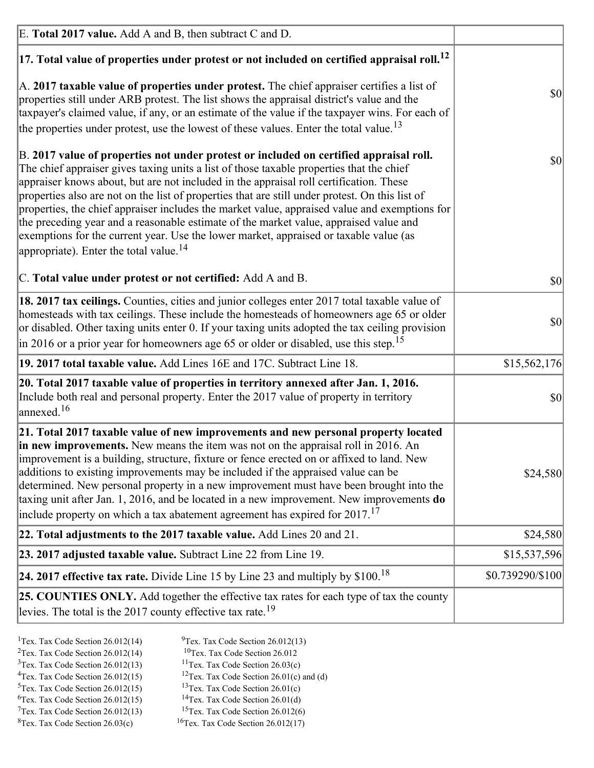| E. Total 2017 value. Add A and B, then subtract C and D.                                                                                                                                                                                                                                                                                                                                                                                                                                                                                                                                                                                                                                                                 |                  |
|--------------------------------------------------------------------------------------------------------------------------------------------------------------------------------------------------------------------------------------------------------------------------------------------------------------------------------------------------------------------------------------------------------------------------------------------------------------------------------------------------------------------------------------------------------------------------------------------------------------------------------------------------------------------------------------------------------------------------|------------------|
| $ 17$ . Total value of properties under protest or not included on certified appraisal roll. <sup>12</sup>                                                                                                                                                                                                                                                                                                                                                                                                                                                                                                                                                                                                               |                  |
| A. 2017 taxable value of properties under protest. The chief appraiser certifies a list of<br>properties still under ARB protest. The list shows the appraisal district's value and the<br>taxpayer's claimed value, if any, or an estimate of the value if the taxpayer wins. For each of<br>the properties under protest, use the lowest of these values. Enter the total value. <sup>13</sup>                                                                                                                                                                                                                                                                                                                         | \$0              |
| B. 2017 value of properties not under protest or included on certified appraisal roll.<br>The chief appraiser gives taxing units a list of those taxable properties that the chief<br>appraiser knows about, but are not included in the appraisal roll certification. These<br>properties also are not on the list of properties that are still under protest. On this list of<br>properties, the chief appraiser includes the market value, appraised value and exemptions for<br>the preceding year and a reasonable estimate of the market value, appraised value and<br>exemptions for the current year. Use the lower market, appraised or taxable value (as<br>appropriate). Enter the total value. <sup>14</sup> | \$0              |
| C. Total value under protest or not certified: Add A and B.                                                                                                                                                                                                                                                                                                                                                                                                                                                                                                                                                                                                                                                              | \$0              |
| 18. 2017 tax ceilings. Counties, cities and junior colleges enter 2017 total taxable value of<br>homesteads with tax ceilings. These include the homesteads of homeowners age 65 or older<br>or disabled. Other taxing units enter 0. If your taxing units adopted the tax ceiling provision<br>$\vert$ in 2016 or a prior year for homeowners age 65 or older or disabled, use this step. <sup>15</sup>                                                                                                                                                                                                                                                                                                                 | \$0              |
| 19. 2017 total taxable value. Add Lines 16E and 17C. Subtract Line 18.                                                                                                                                                                                                                                                                                                                                                                                                                                                                                                                                                                                                                                                   | \$15,562,176     |
| 20. Total 2017 taxable value of properties in territory annexed after Jan. 1, 2016.<br>Include both real and personal property. Enter the 2017 value of property in territory<br>$\text{anne}$ xed. <sup>16</sup>                                                                                                                                                                                                                                                                                                                                                                                                                                                                                                        | \$0              |
| 21. Total 2017 taxable value of new improvements and new personal property located<br>in new improvements. New means the item was not on the appraisal roll in 2016. An<br>improvement is a building, structure, fixture or fence erected on or affixed to land. New<br>additions to existing improvements may be included if the appraised value can be<br>determined. New personal property in a new improvement must have been brought into the<br>taxing unit after Jan. 1, 2016, and be located in a new improvement. New improvements <b>do</b><br>include property on which a tax abatement agreement has expired for $2017$ . <sup>17</sup>                                                                      | \$24,580         |
| 22. Total adjustments to the 2017 taxable value. Add Lines 20 and 21.                                                                                                                                                                                                                                                                                                                                                                                                                                                                                                                                                                                                                                                    | \$24,580         |
| 23. 2017 adjusted taxable value. Subtract Line 22 from Line 19.                                                                                                                                                                                                                                                                                                                                                                                                                                                                                                                                                                                                                                                          | \$15,537,596     |
| 24. 2017 effective tax rate. Divide Line 15 by Line 23 and multiply by $$100$ . <sup>18</sup>                                                                                                                                                                                                                                                                                                                                                                                                                                                                                                                                                                                                                            | \$0.739290/\$100 |
| <b>25. COUNTIES ONLY.</b> Add together the effective tax rates for each type of tax the county<br>levies. The total is the 2017 county effective tax rate. <sup>19</sup>                                                                                                                                                                                                                                                                                                                                                                                                                                                                                                                                                 |                  |

- <sup>2</sup>Tex. Tax Code Section 26.012(14)
- <sup>1</sup>Tex. Tax Code Section 26.012(14) <sup>9</sup>Tex. Tax Code Section 26.012(13) <sup>9</sup>Tex. Tax Code Section 26.012
	-
- <sup>3</sup>Tex. Tax Code Section 26.012(13) <sup>11</sup>Tex. Tax Code Section 26.03(c) <sup>4</sup>Tex. Tax Code Section 26.01(c) and <sup>12</sup>Tex. Tax Code Section 26.01(c) and <sup>12</sup>Tex. Tax Code Section 26.01(c) and <sup>12</sup>Tex. Tax Code Section 26.01(c)
	- <sup>12</sup>Tex. Tax Code Section 26.01(c) and (d)
- 
- <sup>5</sup>Tex. Tax Code Section 26.012(15) <sup>13</sup>Tex. Tax Code Section 26.01(c) <sup>6</sup>Tex. Tax Code Section 26.01(d) <sup>6</sup>Tex. Tax Code Section 26.012(15) <sup>14</sup>Tex. Tax Code Section 26.01(d)<sup>7</sup>Tex. Tax Code Section 26.012(6)
- $7$ Tex. Tax Code Section 26.012(13)
- 
- 
- ${}^{8}$ Tex. Tax Code Section 26.03(c)  ${}^{16}$ Tex. Tax Code Section 26.012(17)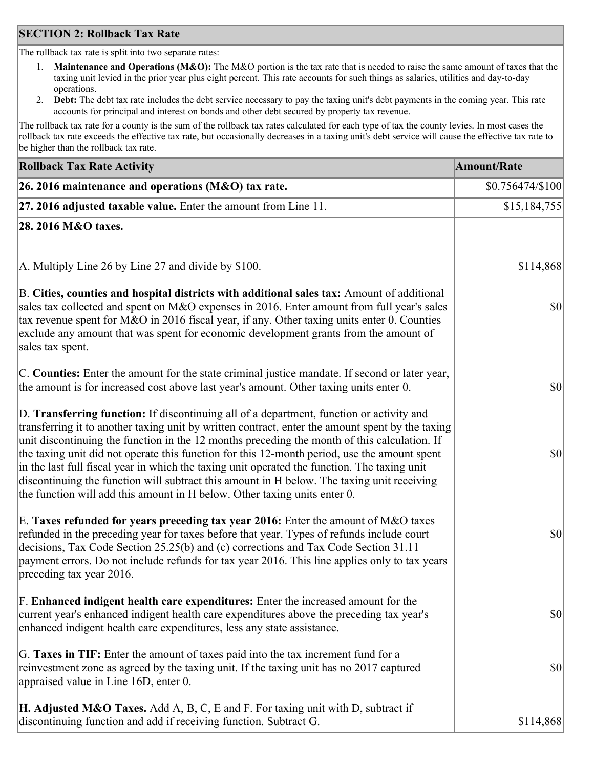### **SECTION 2: Rollback Tax Rate**

The rollback tax rate is split into two separate rates:

- 1. **Maintenance and Operations (M&O):** The M&O portion is the tax rate that is needed to raise the same amount of taxes that the taxing unit levied in the prior year plus eight percent. This rate accounts for such things as salaries, utilities and day-to-day operations.
- 2. **Debt:** The debt tax rate includes the debt service necessary to pay the taxing unit's debt payments in the coming year. This rate accounts for principal and interest on bonds and other debt secured by property tax revenue.

The rollback tax rate for a county is the sum of the rollback tax rates calculated for each type of tax the county levies. In most cases the rollback tax rate exceeds the effective tax rate, but occasionally decreases in a taxing unit's debt service will cause the effective tax rate to be higher than the rollback tax rate.

| <b>Rollback Tax Rate Activity</b>                                                                                                                                                                                                                                                                                                                                                                                                                                                                                                                                                                                                                                       | <b>Amount/Rate</b> |
|-------------------------------------------------------------------------------------------------------------------------------------------------------------------------------------------------------------------------------------------------------------------------------------------------------------------------------------------------------------------------------------------------------------------------------------------------------------------------------------------------------------------------------------------------------------------------------------------------------------------------------------------------------------------------|--------------------|
| 26. 2016 maintenance and operations (M&O) tax rate.                                                                                                                                                                                                                                                                                                                                                                                                                                                                                                                                                                                                                     | \$0.756474/\$100   |
| $ 27.2016$ adjusted taxable value. Enter the amount from Line 11.                                                                                                                                                                                                                                                                                                                                                                                                                                                                                                                                                                                                       | \$15,184,755       |
| 28. 2016 M&O taxes.                                                                                                                                                                                                                                                                                                                                                                                                                                                                                                                                                                                                                                                     |                    |
|                                                                                                                                                                                                                                                                                                                                                                                                                                                                                                                                                                                                                                                                         |                    |
| A. Multiply Line 26 by Line 27 and divide by \$100.                                                                                                                                                                                                                                                                                                                                                                                                                                                                                                                                                                                                                     | \$114,868          |
| B. Cities, counties and hospital districts with additional sales tax: Amount of additional<br>sales tax collected and spent on M&O expenses in 2016. Enter amount from full year's sales<br>tax revenue spent for M&O in 2016 fiscal year, if any. Other taxing units enter 0. Counties<br>exclude any amount that was spent for economic development grants from the amount of<br>sales tax spent.                                                                                                                                                                                                                                                                     | $ 10\rangle$       |
| C. Counties: Enter the amount for the state criminal justice mandate. If second or later year,<br>the amount is for increased cost above last year's amount. Other taxing units enter 0.                                                                                                                                                                                                                                                                                                                                                                                                                                                                                | $ 10\rangle$       |
| D. Transferring function: If discontinuing all of a department, function or activity and<br>transferring it to another taxing unit by written contract, enter the amount spent by the taxing<br>unit discontinuing the function in the 12 months preceding the month of this calculation. If<br>the taxing unit did not operate this function for this 12-month period, use the amount spent<br>in the last full fiscal year in which the taxing unit operated the function. The taxing unit<br>discontinuing the function will subtract this amount in H below. The taxing unit receiving<br>the function will add this amount in H below. Other taxing units enter 0. | \$0                |
| E. Taxes refunded for years preceding tax year 2016: Enter the amount of M&O taxes<br>refunded in the preceding year for taxes before that year. Types of refunds include court<br>decisions, Tax Code Section 25.25(b) and (c) corrections and Tax Code Section 31.11<br>payment errors. Do not include refunds for tax year 2016. This line applies only to tax years<br>preceding tax year 2016.                                                                                                                                                                                                                                                                     | \$0                |
| F. Enhanced indigent health care expenditures: Enter the increased amount for the<br>current year's enhanced indigent health care expenditures above the preceding tax year's<br>enhanced indigent health care expenditures, less any state assistance.                                                                                                                                                                                                                                                                                                                                                                                                                 | $ 10\rangle$       |
| G. Taxes in TIF: Enter the amount of taxes paid into the tax increment fund for a<br>reinvestment zone as agreed by the taxing unit. If the taxing unit has no 2017 captured<br>appraised value in Line 16D, enter 0.                                                                                                                                                                                                                                                                                                                                                                                                                                                   | $ 10\rangle$       |
| <b>H. Adjusted M&amp;O Taxes.</b> Add A, B, C, E and F. For taxing unit with D, subtract if<br>discontinuing function and add if receiving function. Subtract G.                                                                                                                                                                                                                                                                                                                                                                                                                                                                                                        | \$114,868          |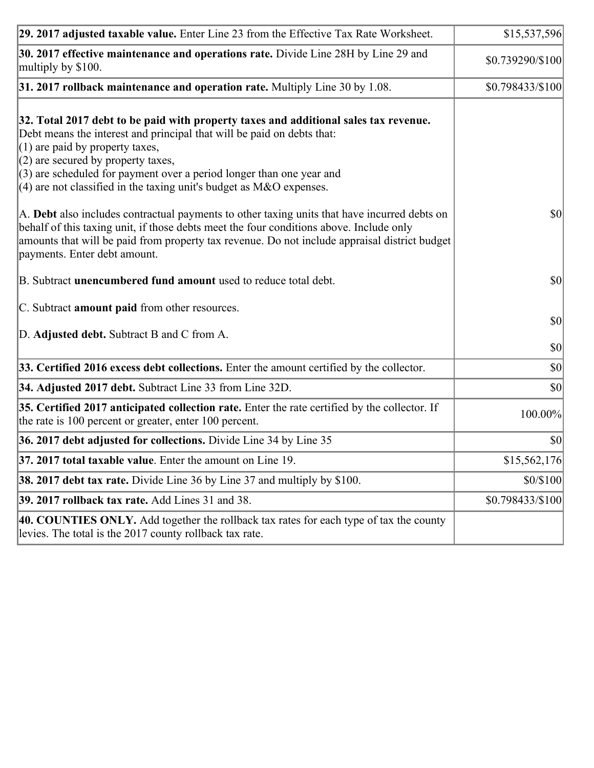| 29. 2017 adjusted taxable value. Enter Line 23 from the Effective Tax Rate Worksheet.                                                                                                                                                                                                                                                                                                          | \$15,537,596                 |
|------------------------------------------------------------------------------------------------------------------------------------------------------------------------------------------------------------------------------------------------------------------------------------------------------------------------------------------------------------------------------------------------|------------------------------|
| 30. 2017 effective maintenance and operations rate. Divide Line 28H by Line 29 and<br>multiply by \$100.                                                                                                                                                                                                                                                                                       | \$0.739290/\$100             |
| $31.2017$ rollback maintenance and operation rate. Multiply Line 30 by 1.08.                                                                                                                                                                                                                                                                                                                   | \$0.798433/\$100             |
| 32. Total 2017 debt to be paid with property taxes and additional sales tax revenue.<br>Debt means the interest and principal that will be paid on debts that:<br>$(1)$ are paid by property taxes,<br>$(2)$ are secured by property taxes,<br>$(3)$ are scheduled for payment over a period longer than one year and<br>$(4)$ are not classified in the taxing unit's budget as M&O expenses. |                              |
| A. Debt also includes contractual payments to other taxing units that have incurred debts on<br>behalf of this taxing unit, if those debts meet the four conditions above. Include only<br>amounts that will be paid from property tax revenue. Do not include appraisal district budget<br>payments. Enter debt amount.                                                                       | $ 10\rangle$                 |
| B. Subtract <b>unencumbered fund amount</b> used to reduce total debt.                                                                                                                                                                                                                                                                                                                         | \$0                          |
| C. Subtract amount paid from other resources.<br>D. Adjusted debt. Subtract B and C from A.                                                                                                                                                                                                                                                                                                    | $ 10\rangle$<br>$ 10\rangle$ |
| 33. Certified 2016 excess debt collections. Enter the amount certified by the collector.                                                                                                                                                                                                                                                                                                       | $ 10\rangle$                 |
| 34. Adjusted 2017 debt. Subtract Line 33 from Line 32D.                                                                                                                                                                                                                                                                                                                                        | \$0                          |
| 35. Certified 2017 anticipated collection rate. Enter the rate certified by the collector. If<br>the rate is 100 percent or greater, enter 100 percent.                                                                                                                                                                                                                                        | 100.00%                      |
| 36. 2017 debt adjusted for collections. Divide Line 34 by Line 35                                                                                                                                                                                                                                                                                                                              | $ 10\rangle$                 |
| 37. 2017 total taxable value. Enter the amount on Line 19.                                                                                                                                                                                                                                                                                                                                     | \$15,562,176                 |
| <b>38. 2017 debt tax rate.</b> Divide Line 36 by Line 37 and multiply by \$100.                                                                                                                                                                                                                                                                                                                | \$0/\$100                    |
| <b>39. 2017 rollback tax rate.</b> Add Lines 31 and 38.                                                                                                                                                                                                                                                                                                                                        | \$0.798433/\$100             |
| 40. COUNTIES ONLY. Add together the rollback tax rates for each type of tax the county<br>levies. The total is the 2017 county rollback tax rate.                                                                                                                                                                                                                                              |                              |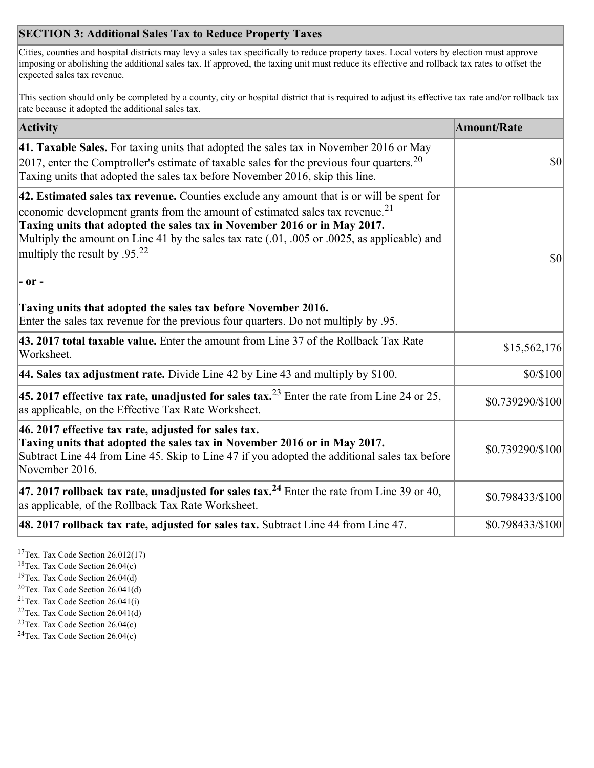## **SECTION 3: Additional Sales Tax to Reduce Property Taxes**

Cities, counties and hospital districts may levy a sales tax specifically to reduce property taxes. Local voters by election must approve imposing or abolishing the additional sales tax. If approved, the taxing unit must reduce its effective and rollback tax rates to offset the expected sales tax revenue.

This section should only be completed by a county, city or hospital district that is required to adjust its effective tax rate and/or rollback tax rate because it adopted the additional sales tax.

| <b>Activity</b>                                                                                                                                                                                                                                                                                                                                                                                                 | <b>Amount/Rate</b> |
|-----------------------------------------------------------------------------------------------------------------------------------------------------------------------------------------------------------------------------------------------------------------------------------------------------------------------------------------------------------------------------------------------------------------|--------------------|
| 41. Taxable Sales. For taxing units that adopted the sales tax in November 2016 or May<br>[2017, enter the Comptroller's estimate of taxable sales for the previous four quarters. <sup>20</sup><br>Taxing units that adopted the sales tax before November 2016, skip this line.                                                                                                                               | $\vert$ so $\vert$ |
| 42. Estimated sales tax revenue. Counties exclude any amount that is or will be spent for<br>economic development grants from the amount of estimated sales tax revenue. <sup>21</sup><br>Taxing units that adopted the sales tax in November 2016 or in May 2017.<br>Multiply the amount on Line 41 by the sales tax rate (.01, .005 or .0025, as applicable) and<br>multiply the result by .95. <sup>22</sup> | \$0                |
| $ -$ or $-$                                                                                                                                                                                                                                                                                                                                                                                                     |                    |
| Taxing units that adopted the sales tax before November 2016.<br>Enter the sales tax revenue for the previous four quarters. Do not multiply by .95.                                                                                                                                                                                                                                                            |                    |
| 43. 2017 total taxable value. Enter the amount from Line 37 of the Rollback Tax Rate<br>Worksheet.                                                                                                                                                                                                                                                                                                              | \$15,562,176       |
| 44. Sales tax adjustment rate. Divide Line 42 by Line 43 and multiply by $$100$ .                                                                                                                                                                                                                                                                                                                               | \$0/\$100          |
| 45. 2017 effective tax rate, unadjusted for sales tax. <sup>23</sup> Enter the rate from Line 24 or 25,<br>as applicable, on the Effective Tax Rate Worksheet.                                                                                                                                                                                                                                                  | \$0.739290/\$100   |
| 46. 2017 effective tax rate, adjusted for sales tax.<br>Taxing units that adopted the sales tax in November 2016 or in May 2017.<br>Subtract Line 44 from Line 45. Skip to Line 47 if you adopted the additional sales tax before<br>November 2016.                                                                                                                                                             | \$0.739290/\$100   |
| 47. 2017 rollback tax rate, unadjusted for sales tax. <sup>24</sup> Enter the rate from Line 39 or 40,<br>as applicable, of the Rollback Tax Rate Worksheet.                                                                                                                                                                                                                                                    | \$0.798433/\$100   |
| $ 48.2017$ rollback tax rate, adjusted for sales tax. Subtract Line 44 from Line 47.                                                                                                                                                                                                                                                                                                                            | \$0.798433/\$100   |

<sup>17</sup>Tex. Tax Code Section 26.012(17)

<sup>18</sup>Tex. Tax Code Section 26.04(c)

<sup>19</sup>Tex. Tax Code Section 26.04(d)

<sup>20</sup>Tex. Tax Code Section 26.041(d)

- $21$ Tex. Tax Code Section 26.041(i)
- <sup>22</sup>Tex. Tax Code Section 26.041(d)
- <sup>23</sup>Tex. Tax Code Section  $26.04(c)$

<sup>24</sup>Tex. Tax Code Section  $26.04(c)$